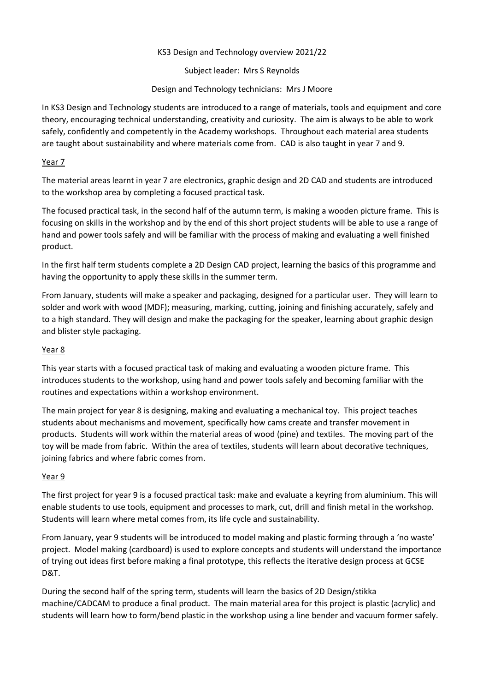## KS3 Design and Technology overview 2021/22

Subject leader: Mrs S Reynolds

Design and Technology technicians: Mrs J Moore

In KS3 Design and Technology students are introduced to a range of materials, tools and equipment and core theory, encouraging technical understanding, creativity and curiosity. The aim is always to be able to work safely, confidently and competently in the Academy workshops. Throughout each material area students are taught about sustainability and where materials come from. CAD is also taught in year 7 and 9.

## Year 7

The material areas learnt in year 7 are electronics, graphic design and 2D CAD and students are introduced to the workshop area by completing a focused practical task.

The focused practical task, in the second half of the autumn term, is making a wooden picture frame. This is focusing on skills in the workshop and by the end of this short project students will be able to use a range of hand and power tools safely and will be familiar with the process of making and evaluating a well finished product.

In the first half term students complete a 2D Design CAD project, learning the basics of this programme and having the opportunity to apply these skills in the summer term.

From January, students will make a speaker and packaging, designed for a particular user. They will learn to solder and work with wood (MDF); measuring, marking, cutting, joining and finishing accurately, safely and to a high standard. They will design and make the packaging for the speaker, learning about graphic design and blister style packaging.

## Year 8

This year starts with a focused practical task of making and evaluating a wooden picture frame. This introduces students to the workshop, using hand and power tools safely and becoming familiar with the routines and expectations within a workshop environment.

The main project for year 8 is designing, making and evaluating a mechanical toy. This project teaches students about mechanisms and movement, specifically how cams create and transfer movement in products. Students will work within the material areas of wood (pine) and textiles. The moving part of the toy will be made from fabric. Within the area of textiles, students will learn about decorative techniques, joining fabrics and where fabric comes from.

## Year 9

The first project for year 9 is a focused practical task: make and evaluate a keyring from aluminium. This will enable students to use tools, equipment and processes to mark, cut, drill and finish metal in the workshop. Students will learn where metal comes from, its life cycle and sustainability.

From January, year 9 students will be introduced to model making and plastic forming through a 'no waste' project. Model making (cardboard) is used to explore concepts and students will understand the importance of trying out ideas first before making a final prototype, this reflects the iterative design process at GCSE D&T.

During the second half of the spring term, students will learn the basics of 2D Design/stikka machine/CADCAM to produce a final product. The main material area for this project is plastic (acrylic) and students will learn how to form/bend plastic in the workshop using a line bender and vacuum former safely.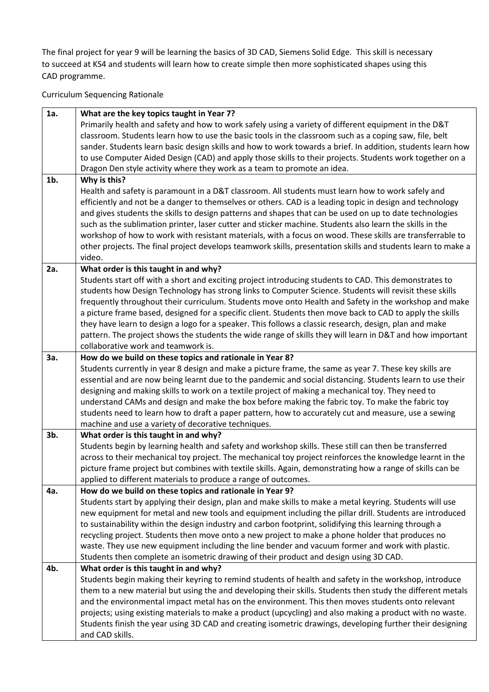The final project for year 9 will be learning the basics of 3D CAD, Siemens Solid Edge. This skill is necessary to succeed at KS4 and students will learn how to create simple then more sophisticated shapes using this CAD programme.

Curriculum Sequencing Rationale

| 1a.    | What are the key topics taught in Year 7?                                                                    |
|--------|--------------------------------------------------------------------------------------------------------------|
|        | Primarily health and safety and how to work safely using a variety of different equipment in the D&T         |
|        | classroom. Students learn how to use the basic tools in the classroom such as a coping saw, file, belt       |
|        | sander. Students learn basic design skills and how to work towards a brief. In addition, students learn how  |
|        | to use Computer Aided Design (CAD) and apply those skills to their projects. Students work together on a     |
|        | Dragon Den style activity where they work as a team to promote an idea.                                      |
| $1b$ . | Why is this?                                                                                                 |
|        | Health and safety is paramount in a D&T classroom. All students must learn how to work safely and            |
|        | efficiently and not be a danger to themselves or others. CAD is a leading topic in design and technology     |
|        | and gives students the skills to design patterns and shapes that can be used on up to date technologies      |
|        | such as the sublimation printer, laser cutter and sticker machine. Students also learn the skills in the     |
|        | workshop of how to work with resistant materials, with a focus on wood. These skills are transferrable to    |
|        | other projects. The final project develops teamwork skills, presentation skills and students learn to make a |
|        | video.                                                                                                       |
| 2a.    | What order is this taught in and why?                                                                        |
|        | Students start off with a short and exciting project introducing students to CAD. This demonstrates to       |
|        | students how Design Technology has strong links to Computer Science. Students will revisit these skills      |
|        | frequently throughout their curriculum. Students move onto Health and Safety in the workshop and make        |
|        | a picture frame based, designed for a specific client. Students then move back to CAD to apply the skills    |
|        | they have learn to design a logo for a speaker. This follows a classic research, design, plan and make       |
|        | pattern. The project shows the students the wide range of skills they will learn in D&T and how important    |
|        | collaborative work and teamwork is.                                                                          |
| 3a.    | How do we build on these topics and rationale in Year 8?                                                     |
|        | Students currently in year 8 design and make a picture frame, the same as year 7. These key skills are       |
|        | essential and are now being learnt due to the pandemic and social distancing. Students learn to use their    |
|        | designing and making skills to work on a textile project of making a mechanical toy. They need to            |
|        | understand CAMs and design and make the box before making the fabric toy. To make the fabric toy             |
|        | students need to learn how to draft a paper pattern, how to accurately cut and measure, use a sewing         |
|        | machine and use a variety of decorative techniques.                                                          |
| 3b.    | What order is this taught in and why?                                                                        |
|        | Students begin by learning health and safety and workshop skills. These still can then be transferred        |
|        | across to their mechanical toy project. The mechanical toy project reinforces the knowledge learnt in the    |
|        | picture frame project but combines with textile skills. Again, demonstrating how a range of skills can be    |
|        | applied to different materials to produce a range of outcomes.                                               |
| 4a.    | How do we build on these topics and rationale in Year 9?                                                     |
|        | Students start by applying their design, plan and make skills to make a metal keyring. Students will use     |
|        | new equipment for metal and new tools and equipment including the pillar drill. Students are introduced      |
|        | to sustainability within the design industry and carbon footprint, solidifying this learning through a       |
|        | recycling project. Students then move onto a new project to make a phone holder that produces no             |
|        | waste. They use new equipment including the line bender and vacuum former and work with plastic.             |
|        | Students then complete an isometric drawing of their product and design using 3D CAD.                        |
| 4b.    | What order is this taught in and why?                                                                        |
|        | Students begin making their keyring to remind students of health and safety in the workshop, introduce       |
|        | them to a new material but using the and developing their skills. Students then study the different metals   |
|        | and the environmental impact metal has on the environment. This then moves students onto relevant            |
|        | projects; using existing materials to make a product (upcycling) and also making a product with no waste.    |
|        | Students finish the year using 3D CAD and creating isometric drawings, developing further their designing    |
|        | and CAD skills.                                                                                              |